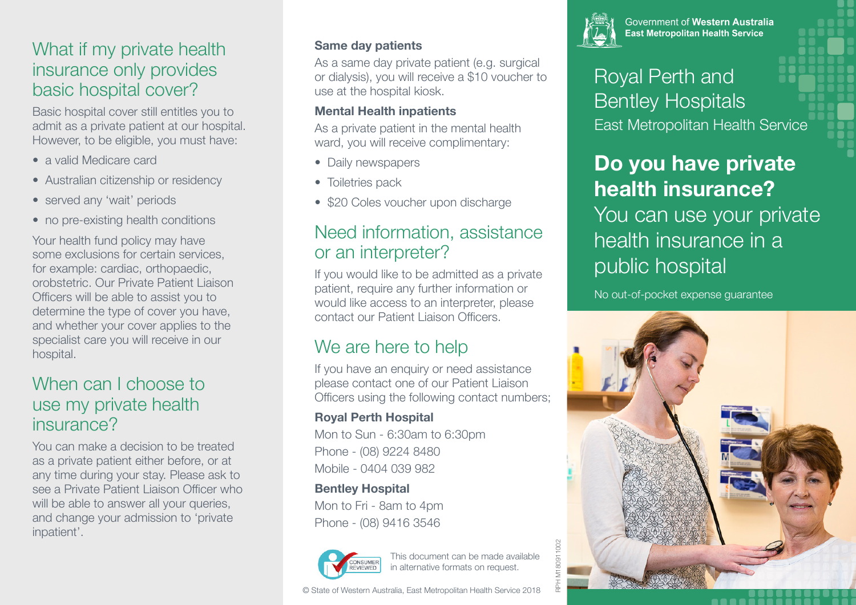## What if my private health insurance only provides basic hospital cover?

Basic hospital cover still entitles you to admit as a private patient at our hospital. However, to be eligible, you must have:

- a valid Medicare card
- Australian citizenship or residency
- served any 'wait' periods
- no pre-existing health conditions

Your health fund policy may have some exclusions for certain services, for example: cardiac, orthopaedic, orobstetric. Our Private Patient Liaison Officers will be able to assist you to determine the type of cover you have, and whether your cover applies to the specialist care you will receive in our hospital.

## When can I choose to use my private health insurance?

You can make a decision to be treated as a private patient either before, or at any time during your stay. Please ask to see a Private Patient Liaison Officer who will be able to answer all your queries, and change your admission to 'private inpatient'.

#### **Same day patients**

As a same day private patient (e.g. surgical or dialysis), you will receive a \$10 voucher to use at the hospital kiosk.

#### **Mental Health inpatients**

As a private patient in the mental health ward, you will receive complimentary:

- Daily newspapers
- Toiletries pack
- \$20 Coles voucher upon discharge

## Need information, assistance or an interpreter?

If you would like to be admitted as a private patient, require any further information or would like access to an interpreter, please contact our Patient Liaison Officers.

## We are here to help

If you have an enquiry or need assistance please contact one of our Patient Liaison Officers using the following contact numbers;

#### **Royal Perth Hospital**

Mon to Sun - 6:30am to 6:30pm Phone - (08) 9224 8480 Mobile - 0404 039 982

#### **Bentley Hospital**

Mon to Fri - 8am to 4pm Phone - (08) 9416 3546



This document can be made available in alternative formats on request.





**Government of Western Australia East Metropolitan Health Service** 

Royal Perth and Bentley Hospitals East Metropolitan Health Service

# **Do you have private health insurance?** You can use your private health insurance in a public hospital

No out-of-pocket expense guarantee



RPH M180911002